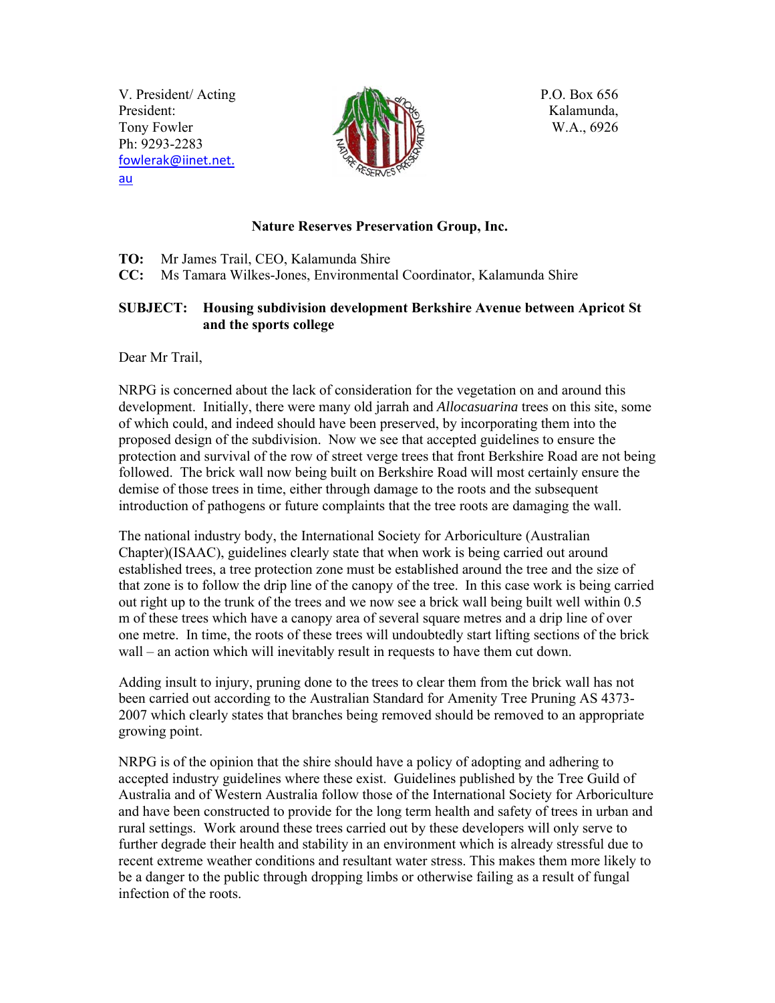V. President/ Acting President: Tony Fowler Ph: 9293-2283 fowlerak@iinet.net. au



P.O. Box 656 Kalamunda, W.A., 6926

## **Nature Reserves Preservation Group, Inc.**

**TO:** Mr James Trail, CEO, Kalamunda Shire

**CC:** Ms Tamara Wilkes-Jones, Environmental Coordinator, Kalamunda Shire

## **SUBJECT: Housing subdivision development Berkshire Avenue between Apricot St and the sports college**

Dear Mr Trail,

NRPG is concerned about the lack of consideration for the vegetation on and around this development. Initially, there were many old jarrah and *Allocasuarina* trees on this site, some of which could, and indeed should have been preserved, by incorporating them into the proposed design of the subdivision. Now we see that accepted guidelines to ensure the protection and survival of the row of street verge trees that front Berkshire Road are not being followed. The brick wall now being built on Berkshire Road will most certainly ensure the demise of those trees in time, either through damage to the roots and the subsequent introduction of pathogens or future complaints that the tree roots are damaging the wall.

The national industry body, the International Society for Arboriculture (Australian Chapter)(ISAAC), guidelines clearly state that when work is being carried out around established trees, a tree protection zone must be established around the tree and the size of that zone is to follow the drip line of the canopy of the tree. In this case work is being carried out right up to the trunk of the trees and we now see a brick wall being built well within 0.5 m of these trees which have a canopy area of several square metres and a drip line of over one metre. In time, the roots of these trees will undoubtedly start lifting sections of the brick wall – an action which will inevitably result in requests to have them cut down.

Adding insult to injury, pruning done to the trees to clear them from the brick wall has not been carried out according to the Australian Standard for Amenity Tree Pruning AS 4373- 2007 which clearly states that branches being removed should be removed to an appropriate growing point.

NRPG is of the opinion that the shire should have a policy of adopting and adhering to accepted industry guidelines where these exist. Guidelines published by the Tree Guild of Australia and of Western Australia follow those of the International Society for Arboriculture and have been constructed to provide for the long term health and safety of trees in urban and rural settings. Work around these trees carried out by these developers will only serve to further degrade their health and stability in an environment which is already stressful due to recent extreme weather conditions and resultant water stress. This makes them more likely to be a danger to the public through dropping limbs or otherwise failing as a result of fungal infection of the roots.